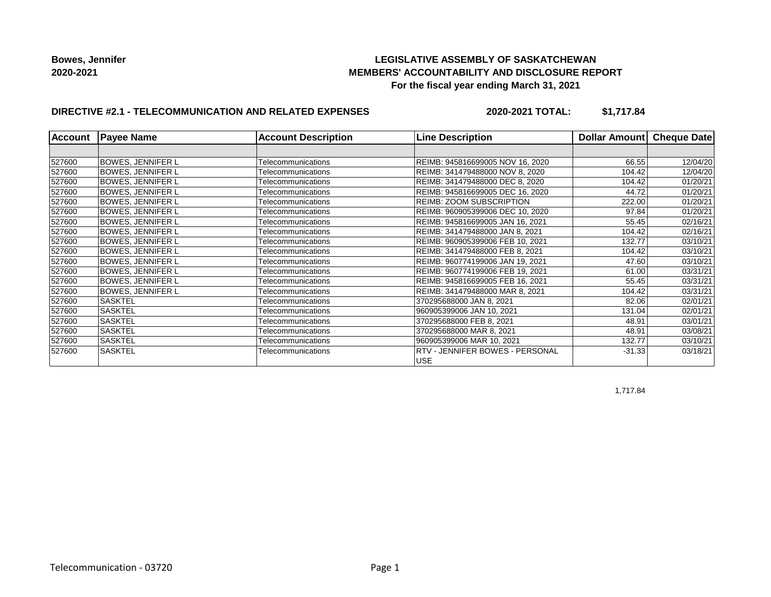## **LEGISLATIVE ASSEMBLY OF SASKATCHEWAN MEMBERS' ACCOUNTABILITY AND DISCLOSURE REPORT For the fiscal year ending March 31, 2021**

## **DIRECTIVE #2.1 - TELECOMMUNICATION AND RELATED EXPENSES**

**2020-2021 TOTAL: \$1,717.84**

| <b>Account</b> | <b>Payee Name</b>        | <b>Account Description</b> | <b>Line Description</b>                       | Dollar Amount | <b>Cheque Date</b> |
|----------------|--------------------------|----------------------------|-----------------------------------------------|---------------|--------------------|
|                |                          |                            |                                               |               |                    |
| 527600         | <b>BOWES, JENNIFER L</b> | Telecommunications         | REIMB: 945816699005 NOV 16, 2020              | 66.55         | 12/04/20           |
| 527600         | <b>BOWES, JENNIFER L</b> | Telecommunications         | REIMB: 341479488000 NOV 8, 2020               | 104.42        | 12/04/20           |
| 527600         | <b>BOWES, JENNIFER L</b> | Telecommunications         | REIMB: 341479488000 DEC 8, 2020               | 104.42        | 01/20/21           |
| 527600         | <b>BOWES, JENNIFER L</b> | Telecommunications         | REIMB: 945816699005 DEC 16, 2020              | 44.72         | 01/20/21           |
| 527600         | <b>BOWES, JENNIFER L</b> | Telecommunications         | REIMB: ZOOM SUBSCRIPTION                      | 222.00        | 01/20/21           |
| 527600         | <b>BOWES, JENNIFER L</b> | Telecommunications         | REIMB: 960905399006 DEC 10, 2020              | 97.84         | 01/20/21           |
| 527600         | <b>BOWES, JENNIFER L</b> | Telecommunications         | REIMB: 945816699005 JAN 16, 2021              | 55.45         | 02/16/21           |
| 527600         | <b>BOWES, JENNIFER L</b> | Telecommunications         | REIMB: 341479488000 JAN 8, 2021               | 104.42        | 02/16/21           |
| 527600         | <b>BOWES, JENNIFER L</b> | Telecommunications         | REIMB: 960905399006 FEB 10, 2021              | 132.77        | 03/10/21           |
| 527600         | <b>BOWES, JENNIFER L</b> | Telecommunications         | REIMB: 341479488000 FEB 8, 2021               | 104.42        | 03/10/21           |
| 527600         | <b>BOWES, JENNIFER L</b> | Telecommunications         | REIMB: 960774199006 JAN 19, 2021              | 47.60         | 03/10/21           |
| 527600         | <b>BOWES, JENNIFER L</b> | Telecommunications         | REIMB: 960774199006 FEB 19, 2021              | 61.00         | 03/31/21           |
| 527600         | <b>BOWES, JENNIFER L</b> | Telecommunications         | REIMB: 945816699005 FEB 16, 2021              | 55.45         | 03/31/21           |
| 527600         | <b>BOWES, JENNIFER L</b> | Telecommunications         | REIMB: 341479488000 MAR 8, 2021               | 104.42        | 03/31/21           |
| 527600         | <b>SASKTEL</b>           | Telecommunications         | 370295688000 JAN 8, 2021                      | 82.06         | 02/01/21           |
| 527600         | <b>SASKTEL</b>           | Telecommunications         | 960905399006 JAN 10, 2021                     | 131.04        | 02/01/21           |
| 527600         | <b>SASKTEL</b>           | Telecommunications         | 370295688000 FEB 8, 2021                      | 48.91         | 03/01/21           |
| 527600         | <b>SASKTEL</b>           | Telecommunications         | 370295688000 MAR 8, 2021                      | 48.91         | 03/08/21           |
| 527600         | SASKTEL                  | Telecommunications         | 960905399006 MAR 10, 2021                     | 132.77        | 03/10/21           |
| 527600         | <b>SASKTEL</b>           | Telecommunications         | RTV - JENNIFER BOWES - PERSONAL<br><b>USE</b> | $-31.33$      | 03/18/21           |

1,717.84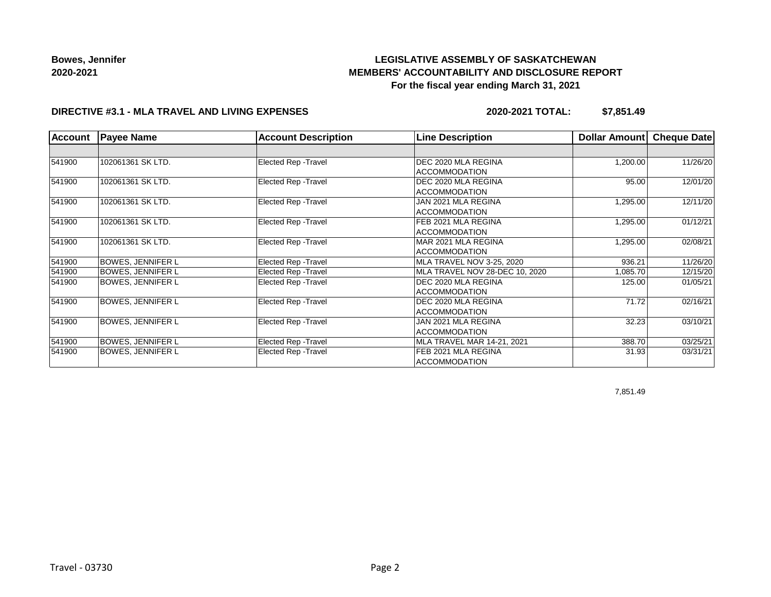# **LEGISLATIVE ASSEMBLY OF SASKATCHEWAN MEMBERS' ACCOUNTABILITY AND DISCLOSURE REPORT For the fiscal year ending March 31, 2021**

### **DIRECTIVE #3.1 - MLA TRAVEL AND LIVING EXPENSES**

**2020-2021 TOTAL: \$7,851.49**

| <b>Account</b> | <b>Payee Name</b>        | <b>Account Description</b>  | <b>Line Description</b>        | <b>Dollar Amount</b> | Cheque Date |
|----------------|--------------------------|-----------------------------|--------------------------------|----------------------|-------------|
|                |                          |                             |                                |                      |             |
| 541900         | 102061361 SK LTD.        | <b>Elected Rep - Travel</b> | DEC 2020 MLA REGINA            | 1,200.00             | 11/26/20    |
|                |                          |                             | <b>ACCOMMODATION</b>           |                      |             |
| 541900         | 102061361 SK LTD.        | <b>Elected Rep - Travel</b> | DEC 2020 MLA REGINA            | 95.00                | 12/01/20    |
|                |                          |                             | <b>ACCOMMODATION</b>           |                      |             |
| 541900         | 102061361 SK LTD.        | <b>Elected Rep - Travel</b> | JAN 2021 MLA REGINA            | 1,295.00             | 12/11/20    |
|                |                          |                             | <b>ACCOMMODATION</b>           |                      |             |
| 541900         | 102061361 SK LTD.        | <b>Elected Rep - Travel</b> | FEB 2021 MLA REGINA            | 1,295.00             | 01/12/21    |
|                |                          |                             | <b>ACCOMMODATION</b>           |                      |             |
| 541900         | 102061361 SK LTD.        | <b>Elected Rep - Travel</b> | MAR 2021 MLA REGINA            | 1,295.00             | 02/08/21    |
|                |                          |                             | <b>ACCOMMODATION</b>           |                      |             |
| 541900         | <b>BOWES, JENNIFER L</b> | <b>Elected Rep - Travel</b> | MLA TRAVEL NOV 3-25, 2020      | 936.21               | 11/26/20    |
| 541900         | <b>BOWES, JENNIFER L</b> | Elected Rep - Travel        | MLA TRAVEL NOV 28-DEC 10, 2020 | 1,085.70             | 12/15/20    |
| 541900         | BOWES, JENNIFER L        | <b>Elected Rep - Travel</b> | DEC 2020 MLA REGINA            | 125.00               | 01/05/21    |
|                |                          |                             | ACCOMMODATION                  |                      |             |
| 541900         | <b>BOWES, JENNIFER L</b> | <b>Elected Rep - Travel</b> | DEC 2020 MLA REGINA            | 71.72                | 02/16/21    |
|                |                          |                             | <b>ACCOMMODATION</b>           |                      |             |
| 541900         | <b>BOWES, JENNIFER L</b> | <b>Elected Rep - Travel</b> | JAN 2021 MLA REGINA            | 32.23                | 03/10/21    |
|                |                          |                             | <b>ACCOMMODATION</b>           |                      |             |
| 541900         | <b>BOWES, JENNIFER L</b> | Elected Rep - Travel        | MLA TRAVEL MAR 14-21, 2021     | 388.70               | 03/25/21    |
| 541900         | <b>BOWES, JENNIFER L</b> | Elected Rep - Travel        | FEB 2021 MLA REGINA            | 31.93                | 03/31/21    |
|                |                          |                             | ACCOMMODATION                  |                      |             |

7,851.49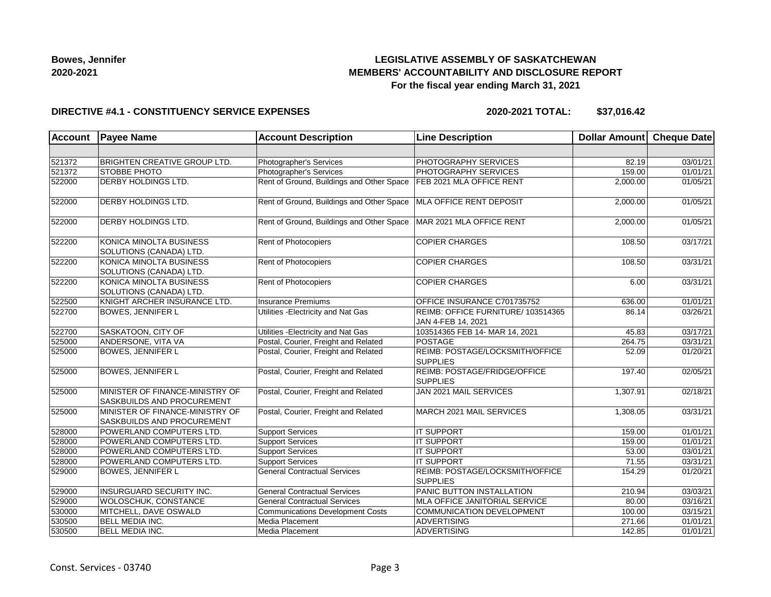## **LEGISLATIVE ASSEMBLY OF SASKATCHEWAN MEMBERS' ACCOUNTABILITY AND DISCLOSURE REPORT For the fiscal year ending March 31, 2021**

### **DIRECTIVE #4.1 - CONSTITUENCY SERVICE EXPENSES**

**2020-2021 TOTAL: \$37,016.42**

| <b>Account</b> | <b>Payee Name</b>                                                    | <b>Account Description</b>                | <b>Line Description</b>                                  | <b>Dollar Amount</b> | <b>Cheque Date</b> |
|----------------|----------------------------------------------------------------------|-------------------------------------------|----------------------------------------------------------|----------------------|--------------------|
|                |                                                                      |                                           |                                                          |                      |                    |
| 521372         | <b>BRIGHTEN CREATIVE GROUP LTD.</b>                                  | Photographer's Services                   | PHOTOGRAPHY SERVICES                                     | 82.19                | 03/01/21           |
| 521372         | <b>STOBBE PHOTO</b>                                                  | Photographer's Services                   | PHOTOGRAPHY SERVICES                                     | 159.00               | 01/01/21           |
| 522000         | <b>DERBY HOLDINGS LTD.</b>                                           | Rent of Ground, Buildings and Other Space | FEB 2021 MLA OFFICE RENT                                 | 2,000.00             | 01/05/21           |
| 522000         | <b>DERBY HOLDINGS LTD.</b>                                           | Rent of Ground, Buildings and Other Space | MLA OFFICE RENT DEPOSIT                                  | 2,000.00             | 01/05/21           |
| 522000         | DERBY HOLDINGS LTD.                                                  | Rent of Ground, Buildings and Other Space | MAR 2021 MLA OFFICE RENT                                 | 2,000.00             | 01/05/21           |
| 522200         | <b>KONICA MINOLTA BUSINESS</b><br>SOLUTIONS (CANADA) LTD.            | Rent of Photocopiers                      | <b>COPIER CHARGES</b>                                    | 108.50               | 03/17/21           |
| 522200         | KONICA MINOLTA BUSINESS<br>SOLUTIONS (CANADA) LTD.                   | Rent of Photocopiers                      | <b>COPIER CHARGES</b>                                    | 108.50               | 03/31/21           |
| 522200         | KONICA MINOLTA BUSINESS<br>SOLUTIONS (CANADA) LTD.                   | Rent of Photocopiers                      | <b>COPIER CHARGES</b>                                    | 6.00                 | 03/31/21           |
| 522500         | KNIGHT ARCHER INSURANCE LTD.                                         | Insurance Premiums                        | OFFICE INSURANCE C701735752                              | 636.00               | 01/01/21           |
| 522700         | <b>BOWES, JENNIFER L</b>                                             | Utilities - Electricity and Nat Gas       | REIMB: OFFICE FURNITURE/ 103514365<br>JAN 4-FEB 14, 2021 | 86.14                | 03/26/21           |
| 522700         | SASKATOON, CITY OF                                                   | Utilities - Electricity and Nat Gas       | 103514365 FEB 14- MAR 14, 2021                           | 45.83                | 03/17/21           |
| 525000         | ANDERSONE, VITA VA                                                   | Postal, Courier, Freight and Related      | POSTAGE                                                  | 264.75               | 03/31/21           |
| 525000         | <b>BOWES, JENNIFER L</b>                                             | Postal, Courier, Freight and Related      | REIMB: POSTAGE/LOCKSMITH/OFFICE<br><b>SUPPLIES</b>       | 52.09                | 01/20/21           |
| 525000         | <b>BOWES, JENNIFER L</b>                                             | Postal, Courier, Freight and Related      | REIMB: POSTAGE/FRIDGE/OFFICE<br><b>SUPPLIES</b>          | 197.40               | 02/05/21           |
| 525000         | MINISTER OF FINANCE-MINISTRY OF<br><b>SASKBUILDS AND PROCUREMENT</b> | Postal, Courier, Freight and Related      | JAN 2021 MAIL SERVICES                                   | 1,307.91             | 02/18/21           |
| 525000         | MINISTER OF FINANCE-MINISTRY OF<br><b>SASKBUILDS AND PROCUREMENT</b> | Postal, Courier, Freight and Related      | MARCH 2021 MAIL SERVICES                                 | 1,308.05             | 03/31/21           |
| 528000         | POWERLAND COMPUTERS LTD.                                             | Support Services                          | <b>IT SUPPORT</b>                                        | 159.00               | 01/01/21           |
| 528000         | POWERLAND COMPUTERS LTD.                                             | <b>Support Services</b>                   | <b>IT SUPPORT</b>                                        | 159.00               | 01/01/21           |
| 528000         | POWERLAND COMPUTERS LTD.                                             | <b>Support Services</b>                   | <b>IT SUPPORT</b>                                        | 53.00                | 03/01/21           |
| 528000         | POWERLAND COMPUTERS LTD.                                             | <b>Support Services</b>                   | <b>IT SUPPORT</b>                                        | 71.55                | 03/31/21           |
| 529000         | <b>BOWES, JENNIFER L</b>                                             | <b>General Contractual Services</b>       | REIMB: POSTAGE/LOCKSMITH/OFFICE<br><b>SUPPLIES</b>       | 154.29               | 01/20/21           |
| 529000         | INSURGUARD SECURITY INC.                                             | <b>General Contractual Services</b>       | PANIC BUTTON INSTALLATION                                | 210.94               | 03/03/21           |
| 529000         | WOLOSCHUK, CONSTANCE                                                 | <b>General Contractual Services</b>       | MLA OFFICE JANITORIAL SERVICE                            | 80.00                | 03/16/21           |
| 530000         | MITCHELL, DAVE OSWALD                                                | <b>Communications Development Costs</b>   | COMMUNICATION DEVELOPMENT                                | 100.00               | 03/15/21           |
| 530500         | <b>BELL MEDIA INC.</b>                                               | Media Placement                           | <b>ADVERTISING</b>                                       | 271.66               | 01/01/21           |
| 530500         | <b>BELL MEDIA INC.</b>                                               | Media Placement                           | ADVERTISING                                              | 142.85               | 01/01/21           |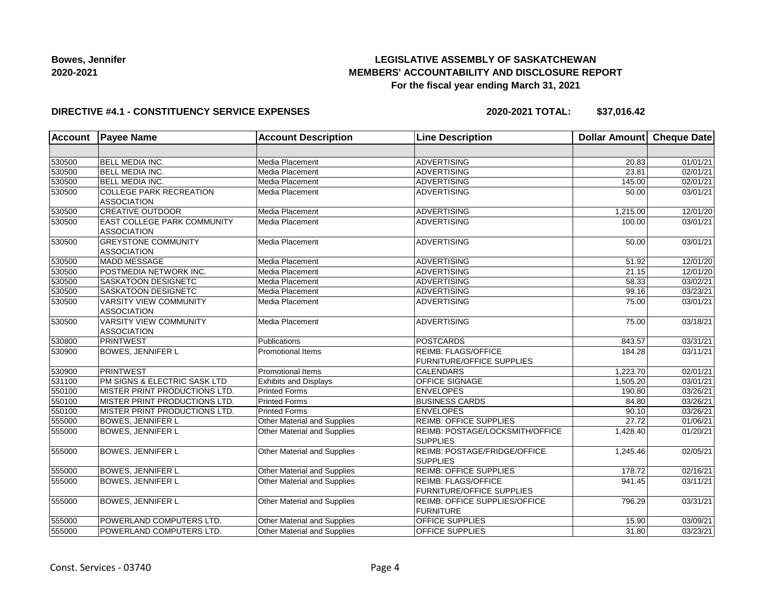## **LEGISLATIVE ASSEMBLY OF SASKATCHEWAN MEMBERS' ACCOUNTABILITY AND DISCLOSURE REPORT For the fiscal year ending March 31, 2021**

### **DIRECTIVE #4.1 - CONSTITUENCY SERVICE EXPENSES**

**2020-2021 TOTAL: \$37,016.42**

| <b>Account</b> | <b>Payee Name</b>              | <b>Account Description</b>   | <b>Line Description</b>          | <b>Dollar Amount</b> | Cheque Date |
|----------------|--------------------------------|------------------------------|----------------------------------|----------------------|-------------|
|                |                                |                              |                                  |                      |             |
| 530500         | BELL MEDIA INC.                | Media Placement              | <b>ADVERTISING</b>               | 20.83                | 01/01/21    |
| 530500         | BELL MEDIA INC.                | Media Placement              | <b>ADVERTISING</b>               | 23.81                | 02/01/21    |
| 530500         | <b>BELL MEDIA INC.</b>         | Media Placement              | <b>ADVERTISING</b>               | 145.00               | 02/01/21    |
| 530500         | <b>COLLEGE PARK RECREATION</b> | Media Placement              | <b>ADVERTISING</b>               | 50.00                | 03/01/21    |
|                | <b>ASSOCIATION</b>             |                              |                                  |                      |             |
| 530500         | <b>CREATIVE OUTDOOR</b>        | Media Placement              | <b>ADVERTISING</b>               | 1,215.00             | 12/01/20    |
| 530500         | EAST COLLEGE PARK COMMUNITY    | Media Placement              | <b>ADVERTISING</b>               | 100.00               | 03/01/21    |
|                | <b>ASSOCIATION</b>             |                              |                                  |                      |             |
| 530500         | <b>GREYSTONE COMMUNITY</b>     | Media Placement              | <b>ADVERTISING</b>               | 50.00                | 03/01/21    |
|                | <b>ASSOCIATION</b>             |                              |                                  |                      |             |
| 530500         | <b>MADD MESSAGE</b>            | Media Placement              | <b>ADVERTISING</b>               | 51.92                | 12/01/20    |
| 530500         | POSTMEDIA NETWORK INC.         | Media Placement              | <b>ADVERTISING</b>               | 21.15                | 12/01/20    |
| 530500         | SASKATOON DESIGNETC            | Media Placement              | <b>ADVERTISING</b>               | 58.33                | 03/02/21    |
| 530500         | SASKATOON DESIGNETC            | <b>Media Placement</b>       | <b>ADVERTISING</b>               | 99.16                | 03/23/21    |
| 530500         | <b>VARSITY VIEW COMMUNITY</b>  | Media Placement              | <b>ADVERTISING</b>               | 75.00                | 03/01/21    |
|                | <b>ASSOCIATION</b>             |                              |                                  |                      |             |
| 530500         | <b>VARSITY VIEW COMMUNITY</b>  | Media Placement              | <b>ADVERTISING</b>               | 75.00                | 03/18/21    |
|                | <b>ASSOCIATION</b>             |                              |                                  |                      |             |
| 530800         | <b>PRINTWEST</b>               | Publications                 | <b>POSTCARDS</b>                 | 843.57               | 03/31/21    |
| 530900         | <b>BOWES, JENNIFER L</b>       | <b>Promotional Items</b>     | <b>REIMB: FLAGS/OFFICE</b>       | 184.28               | 03/11/21    |
|                |                                |                              | <b>FURNITURE/OFFICE SUPPLIES</b> |                      |             |
| 530900         | <b>PRINTWEST</b>               | Promotional Items            | <b>CALENDARS</b>                 | 1,223.70             | 02/01/21    |
| 531100         | PM SIGNS & ELECTRIC SASK LTD   | <b>Exhibits and Displays</b> | OFFICE SIGNAGE                   | 1,505.20             | 03/01/21    |
| 550100         | MISTER PRINT PRODUCTIONS LTD.  | <b>Printed Forms</b>         | <b>ENVELOPES</b>                 | 190.80               | 03/26/21    |
| 550100         | MISTER PRINT PRODUCTIONS LTD.  | <b>Printed Forms</b>         | <b>BUSINESS CARDS</b>            | 84.80                | 03/26/21    |
| 550100         | MISTER PRINT PRODUCTIONS LTD.  | Printed Forms                | <b>ENVELOPES</b>                 | 90.10                | 03/26/21    |
| 555000         | <b>BOWES, JENNIFER L</b>       | Other Material and Supplies  | <b>REIMB: OFFICE SUPPLIES</b>    | 27.72                | 01/06/21    |
| 555000         | <b>BOWES, JENNIFER L</b>       | Other Material and Supplies  | REIMB: POSTAGE/LOCKSMITH/OFFICE  | 1,428.40             | 01/20/21    |
|                |                                |                              | <b>SUPPLIES</b>                  |                      |             |
| 555000         | <b>BOWES, JENNIFER L</b>       | Other Material and Supplies  | REIMB: POSTAGE/FRIDGE/OFFICE     | 1,245.46             | 02/05/21    |
|                |                                |                              | <b>SUPPLIES</b>                  |                      |             |
| 555000         | <b>BOWES, JENNIFER L</b>       | Other Material and Supplies  | <b>REIMB: OFFICE SUPPLIES</b>    | 178.72               | 02/16/21    |
| 555000         | <b>BOWES, JENNIFER L</b>       | Other Material and Supplies  | REIMB: FLAGS/OFFICE              | 941.45               | 03/11/21    |
|                |                                |                              | <b>FURNITURE/OFFICE SUPPLIES</b> |                      |             |
| 555000         | <b>BOWES, JENNIFER L</b>       | Other Material and Supplies  | REIMB: OFFICE SUPPLIES/OFFICE    | 796.29               | 03/31/21    |
|                |                                |                              | <b>FURNITURE</b>                 |                      |             |
| 555000         | POWERLAND COMPUTERS LTD.       | Other Material and Supplies  | OFFICE SUPPLIES                  | 15.90                | 03/09/21    |
| 555000         | POWERLAND COMPUTERS LTD.       | Other Material and Supplies  | <b>OFFICE SUPPLIES</b>           | 31.80                | 03/23/21    |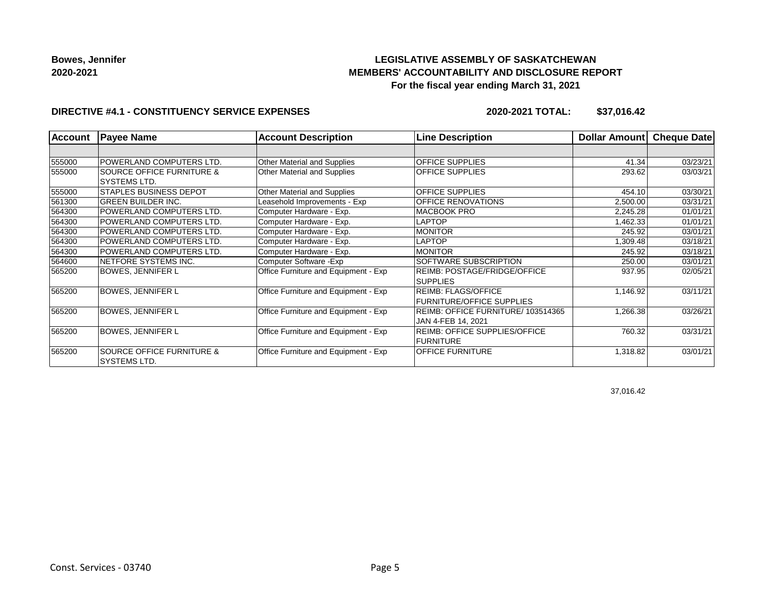## **LEGISLATIVE ASSEMBLY OF SASKATCHEWAN MEMBERS' ACCOUNTABILITY AND DISCLOSURE REPORT For the fiscal year ending March 31, 2021**

### **DIRECTIVE #4.1 - CONSTITUENCY SERVICE EXPENSES**

**2020-2021 TOTAL: \$37,016.42**

| <b>Account</b> | <b>Payee Name</b>                                    | <b>Account Description</b>           | <b>Line Description</b>                                        | <b>Dollar Amountl</b> | <b>Cheque Date</b> |
|----------------|------------------------------------------------------|--------------------------------------|----------------------------------------------------------------|-----------------------|--------------------|
|                |                                                      |                                      |                                                                |                       |                    |
| 555000         | POWERLAND COMPUTERS LTD.                             | Other Material and Supplies          | <b>OFFICE SUPPLIES</b>                                         | 41.34                 | 03/23/21           |
| 555000         | <b>SOURCE OFFICE FURNITURE &amp;</b><br>SYSTEMS LTD. | Other Material and Supplies          | <b>OFFICE SUPPLIES</b>                                         | 293.62                | 03/03/21           |
| 555000         | <b>STAPLES BUSINESS DEPOT</b>                        | Other Material and Supplies          | <b>OFFICE SUPPLIES</b>                                         | 454.10                | 03/30/21           |
| 561300         | <b>GREEN BUILDER INC.</b>                            | Leasehold Improvements - Exp         | OFFICE RENOVATIONS                                             | 2,500.00              | 03/31/21           |
| 564300         | POWERLAND COMPUTERS LTD.                             | Computer Hardware - Exp.             | <b>MACBOOK PRO</b>                                             | 2,245.28              | 01/01/21           |
| 564300         | POWERLAND COMPUTERS LTD.                             | Computer Hardware - Exp.             | <b>LAPTOP</b>                                                  | 1,462.33              | 01/01/21           |
| 564300         | POWERLAND COMPUTERS LTD.                             | Computer Hardware - Exp.             | <b>MONITOR</b>                                                 | 245.92                | 03/01/21           |
| 564300         | POWERLAND COMPUTERS LTD.                             | Computer Hardware - Exp.             | <b>LAPTOP</b>                                                  | 8309.48               | 03/18/21           |
| 564300         | POWERLAND COMPUTERS LTD.                             | Computer Hardware - Exp.             | <b>MONITOR</b>                                                 | 245.92                | 03/18/21           |
| 564600         | NETFORE SYSTEMS INC.                                 | Computer Software - Exp              | SOFTWARE SUBSCRIPTION                                          | 250.00                | 03/01/21           |
| 565200         | <b>BOWES, JENNIFER L</b>                             | Office Furniture and Equipment - Exp | <b>REIMB: POSTAGE/FRIDGE/OFFICE</b><br><b>SUPPLIES</b>         | 937.95                | 02/05/21           |
| 565200         | <b>BOWES, JENNIFER L</b>                             | Office Furniture and Equipment - Exp | <b>REIMB: FLAGS/OFFICE</b><br><b>FURNITURE/OFFICE SUPPLIES</b> | 1,146.92              | 03/11/21           |
| 565200         | <b>BOWES, JENNIFER L</b>                             | Office Furniture and Equipment - Exp | REIMB: OFFICE FURNITURE/ 103514365<br>JAN 4-FEB 14, 2021       | 1,266.38              | 03/26/21           |
| 565200         | <b>BOWES, JENNIFER L</b>                             | Office Furniture and Equipment - Exp | <b>REIMB: OFFICE SUPPLIES/OFFICE</b><br><b>FURNITURE</b>       | 760.32                | 03/31/21           |
| 565200         | <b>SOURCE OFFICE FURNITURE &amp;</b><br>SYSTEMS LTD. | Office Furniture and Equipment - Exp | <b>OFFICE FURNITURE</b>                                        | 1,318.82              | 03/01/21           |

37,016.42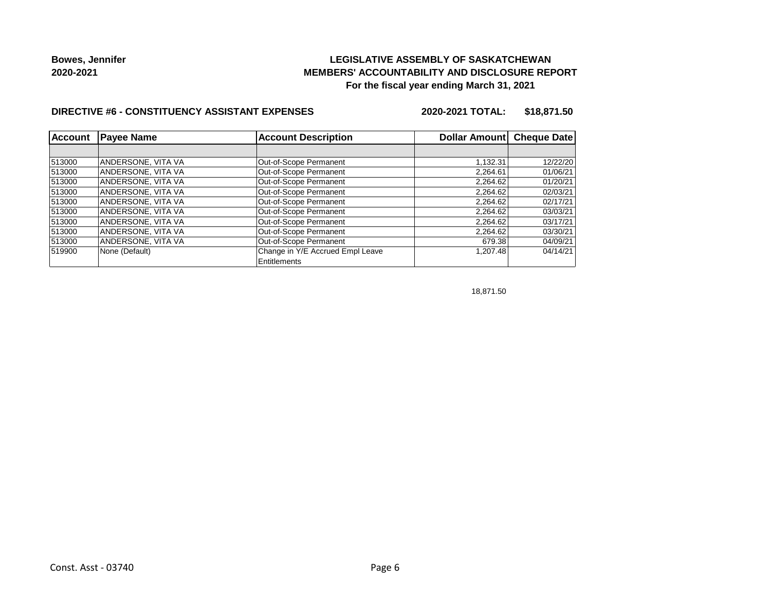## **LEGISLATIVE ASSEMBLY OF SASKATCHEWAN MEMBERS' ACCOUNTABILITY AND DISCLOSURE REPORT For the fiscal year ending March 31, 2021**

### **DIRECTIVE #6 - CONSTITUENCY ASSISTANT EXPENSES**

**2020-2021 TOTAL: \$18,871.50**

| Account | <b>Payee Name</b>  | <b>Account Description</b>       | Dollar Amount Cheque Date |          |
|---------|--------------------|----------------------------------|---------------------------|----------|
|         |                    |                                  |                           |          |
| 513000  | ANDERSONE, VITA VA | Out-of-Scope Permanent           | 1.132.31                  | 12/22/20 |
| 513000  | ANDERSONE, VITA VA | Out-of-Scope Permanent           | 2,264.61                  | 01/06/21 |
| 513000  | ANDERSONE, VITA VA | Out-of-Scope Permanent           | 2,264.62                  | 01/20/21 |
| 513000  | ANDERSONE, VITA VA | Out-of-Scope Permanent           | 2,264.62                  | 02/03/21 |
| 513000  | ANDERSONE, VITA VA | Out-of-Scope Permanent           | 2,264.62                  | 02/17/21 |
| 513000  | ANDERSONE, VITA VA | Out-of-Scope Permanent           | 2,264.62                  | 03/03/21 |
| 513000  | ANDERSONE, VITA VA | Out-of-Scope Permanent           | 2,264.62                  | 03/17/21 |
| 513000  | ANDERSONE, VITA VA | Out-of-Scope Permanent           | 2,264.62                  | 03/30/21 |
| 513000  | ANDERSONE, VITA VA | Out-of-Scope Permanent           | 679.38                    | 04/09/21 |
| 519900  | None (Default)     | Change in Y/E Accrued Empl Leave | 1,207.48                  | 04/14/21 |
|         |                    | Entitlements                     |                           |          |

18,871.50